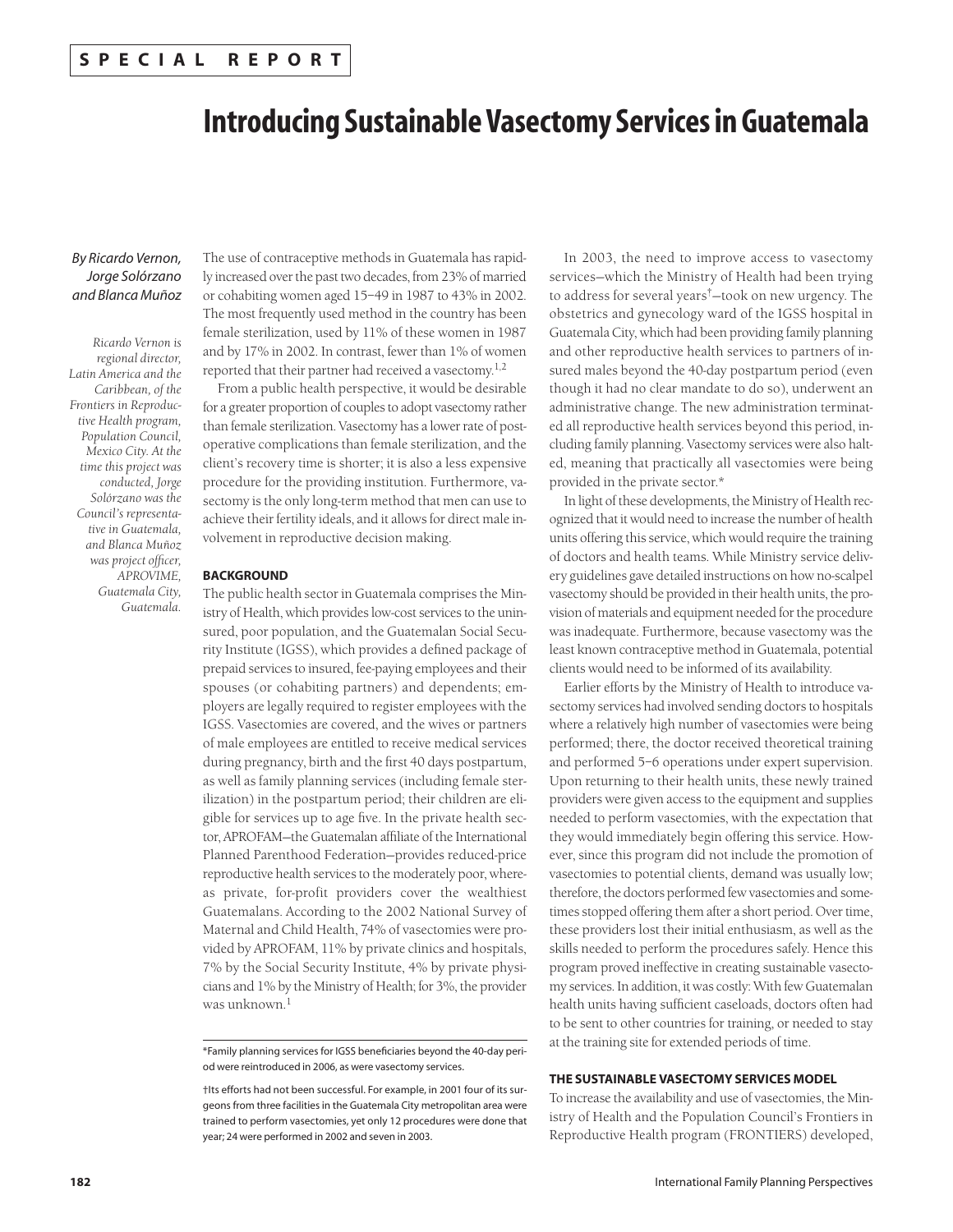# **Introducing Sustainable Vasectomy Services in Guatemala**

# *By Ricardo Vernon, Jorge Solórzano and Blanca Muñoz*

*Ricardo Vernon is regional director, Latin America and the Caribbean, of the Frontiers in Reproductive Health program, Population Council, Mexico City. At the time this project was conducted, Jorge Solórzano was the Council's representative in Guatemala, and Blanca Muñoz was project officer, APROVIME, Guatemala City, Guatemala.*

The use of contraceptive methods in Guatemala has rapidly increased over the past two decades, from 23% of married or cohabiting women aged 15–49 in 1987 to 43% in 2002. The most frequently used method in the country has been female sterilization, used by 11% of these women in 1987 and by 17% in 2002. In contrast, fewer than 1% of women reported that their partner had received a vasectomy.1,2

From a public health perspective, it would be desirable for a greater proportion of couples to adopt vasectomy rather than female sterilization. Vasectomy has a lower rate of postoperative complications than female sterilization, and the client's recovery time is shorter; it is also a less expensive procedure for the providing institution. Furthermore, vasectomy is the only long-term method that men can use to achieve their fertility ideals, and it allows for direct male involvement in reproductive decision making.

## **BACKGROUND**

The public health sector in Guatemala comprises the Ministry of Health, which provides low-cost services to the uninsured, poor population, and the Guatemalan Social Security Institute (IGSS), which provides a defined package of prepaid services to insured, fee-paying employees and their spouses (or cohabiting partners) and dependents; employers are legally required to register employees with the IGSS. Vasectomies are covered, and the wives or partners of male employees are entitled to receive medical services during pregnancy, birth and the first 40 days postpartum, as well as family planning services (including female sterilization) in the postpartum period; their children are eligible for services up to age five. In the private health sector, APROFAM—the Guatemalan affiliate of the International Planned Parenthood Federation—provides reduced-price reproductive health services to the moderately poor, whereas private, for-profit providers cover the wealthiest Guatemalans. According to the 2002 National Survey of Maternal and Child Health, 74% of vasectomies were provided by APROFAM, 11% by private clinics and hospitals, 7% by the Social Security Institute, 4% by private physicians and 1% by the Ministry of Health; for 3%, the provider was unknown.<sup>1</sup>

In 2003, the need to improve access to vasectomy services—which the Ministry of Health had been trying to address for several years†—took on new urgency. The obstetrics and gynecology ward of the IGSS hospital in Guatemala City, which had been providing family planning and other reproductive health services to partners of insured males beyond the 40-day postpartum period (even though it had no clear mandate to do so), underwent an administrative change. The new administration terminated all reproductive health services beyond this period, including family planning. Vasectomy services were also halted, meaning that practically all vasectomies were being provided in the private sector.\*

In light of these developments, the Ministry of Health recognized that it would need to increase the number of health units offering this service, which would require the training of doctors and health teams. While Ministry service delivery guidelines gave detailed instructions on how no-scalpel vasectomy should be provided in their health units, the provision of materials and equipment needed for the procedure was inadequate. Furthermore, because vasectomy was the least known contraceptive method in Guatemala, potential clients would need to be informed of its availability.

Earlier efforts by the Ministry of Health to introduce vasectomy services had involved sending doctors to hospitals where a relatively high number of vasectomies were being performed; there, the doctor received theoretical training and performed 5–6 operations under expert supervision. Upon returning to their health units, these newly trained providers were given access to the equipment and supplies needed to perform vasectomies, with the expectation that they would immediately begin offering this service. However, since this program did not include the promotion of vasectomies to potential clients, demand was usually low; therefore, the doctors performed few vasectomies and sometimes stopped offering them after a short period. Over time, these providers lost their initial enthusiasm, as well as the skills needed to perform the procedures safely. Hence this program proved ineffective in creating sustainable vasectomy services. In addition, it was costly: With few Guatemalan health units having sufficient caseloads, doctors often had to be sent to other countries for training, or needed to stay at the training site for extended periods of time.

# **THE SUSTAINABLE VASECTOMY SERVICES MODEL**

To increase the availability and use of vasectomies, the Ministry of Health and the Population Council's Frontiers in Reproductive Health program (FRONTIERS) developed,

<sup>\*</sup>Family planning services for IGSS beneficiaries beyond the 40-day period were reintroduced in 2006, as were vasectomy services.

<sup>†</sup>Its efforts had not been successful. For example, in 2001 four of its surgeons from three facilities in the Guatemala City metropolitan area were trained to perform vasectomies, yet only 12 procedures were done that year; 24 were performed in 2002 and seven in 2003.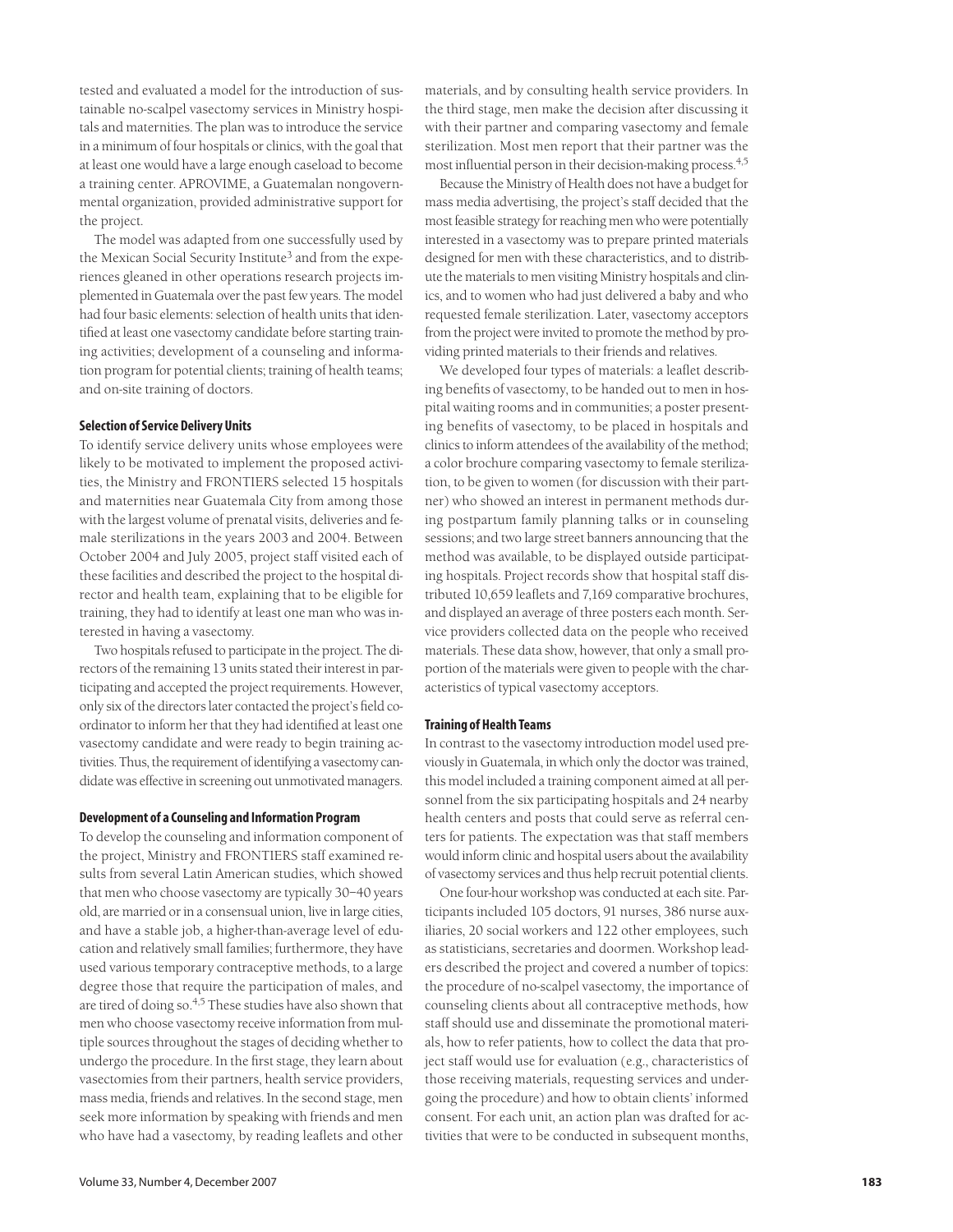tested and evaluated a model for the introduction of sustainable no-scalpel vasectomy services in Ministry hospitals and maternities. The plan was to introduce the service in a minimum of four hospitals or clinics, with the goal that at least one would have a large enough caseload to become a training center. APROVIME, a Guatemalan nongovernmental organization, provided administrative support for the project.

The model was adapted from one successfully used by the Mexican Social Security Institute<sup>3</sup> and from the experiences gleaned in other operations research projects implemented in Guatemala over the past few years. The model had four basic elements: selection of health units that identified at least one vasectomy candidate before starting training activities; development of a counseling and information program for potential clients; training of health teams; and on-site training of doctors.

# **Selection of Service Delivery Units**

To identify service delivery units whose employees were likely to be motivated to implement the proposed activities, the Ministry and FRONTIERS selected 15 hospitals and maternities near Guatemala City from among those with the largest volume of prenatal visits, deliveries and female sterilizations in the years 2003 and 2004. Between October 2004 and July 2005, project staff visited each of these facilities and described the project to the hospital director and health team, explaining that to be eligible for training, they had to identify at least one man who was interested in having a vasectomy.

Two hospitals refused to participate in the project. The directors of the remaining 13 units stated their interest in participating and accepted the project requirements. However, only six of the directors later contacted the project's field coordinator to inform her that they had identified at least one vasectomy candidate and were ready to begin training activities. Thus, the requirement of identifying a vasectomy candidate was effective in screening out unmotivated managers.

## **Development of a Counseling and Information Program**

To develop the counseling and information component of the project, Ministry and FRONTIERS staff examined results from several Latin American studies, which showed that men who choose vasectomy are typically 30–40 years old, are married or in a consensual union, live in large cities, and have a stable job, a higher-than-average level of education and relatively small families; furthermore, they have used various temporary contraceptive methods, to a large degree those that require the participation of males, and are tired of doing so.4,5 These studies have also shown that men who choose vasectomy receive information from multiple sources throughout the stages of deciding whether to undergo the procedure. In the first stage, they learn about vasectomies from their partners, health service providers, mass media, friends and relatives. In the second stage, men seek more information by speaking with friends and men who have had a vasectomy, by reading leaflets and other

materials, and by consulting health service providers. In the third stage, men make the decision after discussing it with their partner and comparing vasectomy and female sterilization. Most men report that their partner was the most influential person in their decision-making process.4,5

Because the Ministry of Health does not have a budget for mass media advertising, the project's staff decided that the most feasible strategy for reaching men who were potentially interested in a vasectomy was to prepare printed materials designed for men with these characteristics, and to distribute the materials to men visiting Ministry hospitals and clinics, and to women who had just delivered a baby and who requested female sterilization. Later, vasectomy acceptors from the project were invited to promote the method by providing printed materials to their friends and relatives.

We developed four types of materials: a leaflet describing benefits of vasectomy, to be handed out to men in hospital waiting rooms and in communities; a poster presenting benefits of vasectomy, to be placed in hospitals and clinics to inform attendees of the availability of the method; a color brochure comparing vasectomy to female sterilization, to be given to women (for discussion with their partner) who showed an interest in permanent methods during postpartum family planning talks or in counseling sessions; and two large street banners announcing that the method was available, to be displayed outside participating hospitals. Project records show that hospital staff distributed 10,659 leaflets and 7,169 comparative brochures, and displayed an average of three posters each month. Service providers collected data on the people who received materials. These data show, however, that only a small proportion of the materials were given to people with the characteristics of typical vasectomy acceptors.

## **Training of Health Teams**

In contrast to the vasectomy introduction model used previously in Guatemala, in which only the doctor was trained, this model included a training component aimed at all personnel from the six participating hospitals and 24 nearby health centers and posts that could serve as referral centers for patients. The expectation was that staff members would inform clinic and hospital users about the availability of vasectomy services and thus help recruit potential clients.

One four-hour workshop was conducted at each site. Participants included 105 doctors, 91 nurses, 386 nurse auxiliaries, 20 social workers and 122 other employees, such as statisticians, secretaries and doormen. Workshop leaders described the project and covered a number of topics: the procedure of no-scalpel vasectomy, the importance of counseling clients about all contraceptive methods, how staff should use and disseminate the promotional materials, how to refer patients, how to collect the data that project staff would use for evaluation (e.g., characteristics of those receiving materials, requesting services and undergoing the procedure) and how to obtain clients' informed consent. For each unit, an action plan was drafted for activities that were to be conducted in subsequent months,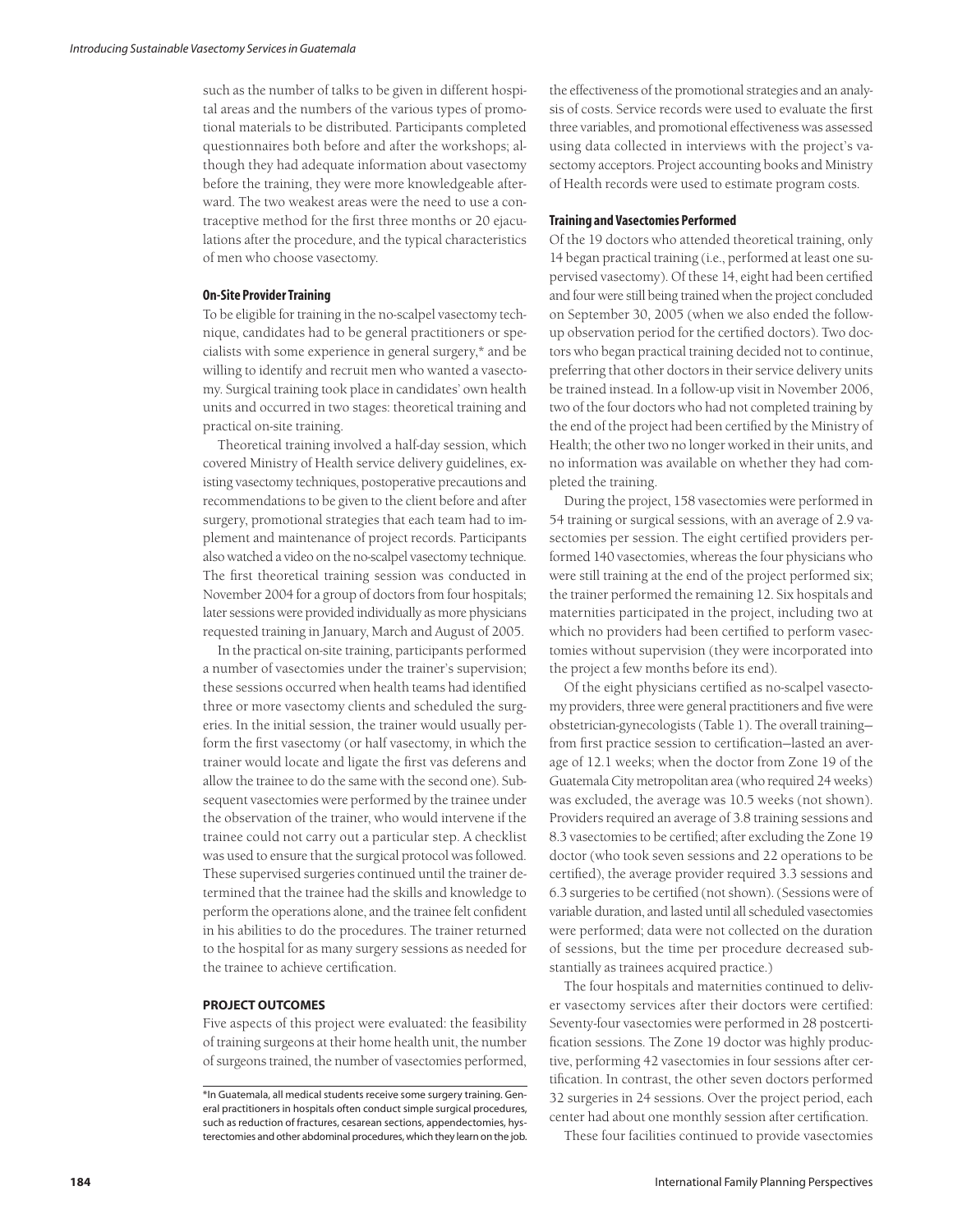such as the number of talks to be given in different hospital areas and the numbers of the various types of promotional materials to be distributed. Participants completed questionnaires both before and after the workshops; although they had adequate information about vasectomy before the training, they were more knowledgeable afterward. The two weakest areas were the need to use a contraceptive method for the first three months or 20 ejaculations after the procedure, and the typical characteristics of men who choose vasectomy.

#### **On-Site Provider Training**

To be eligible for training in the no-scalpel vasectomy technique, candidates had to be general practitioners or specialists with some experience in general surgery,\* and be willing to identify and recruit men who wanted a vasectomy. Surgical training took place in candidates' own health units and occurred in two stages: theoretical training and practical on-site training.

Theoretical training involved a half-day session, which covered Ministry of Health service delivery guidelines, existing vasectomy techniques, postoperative precautions and recommendations to be given to the client before and after surgery, promotional strategies that each team had to implement and maintenance of project records. Participants also watched a video on the no-scalpel vasectomy technique. The first theoretical training session was conducted in November 2004 for a group of doctors from four hospitals; later sessions were provided individually as more physicians requested training in January, March and August of 2005.

In the practical on-site training, participants performed a number of vasectomies under the trainer's supervision; these sessions occurred when health teams had identified three or more vasectomy clients and scheduled the surgeries. In the initial session, the trainer would usually perform the first vasectomy (or half vasectomy, in which the trainer would locate and ligate the first vas deferens and allow the trainee to do the same with the second one). Subsequent vasectomies were performed by the trainee under the observation of the trainer, who would intervene if the trainee could not carry out a particular step. A checklist was used to ensure that the surgical protocol was followed. These supervised surgeries continued until the trainer determined that the trainee had the skills and knowledge to perform the operations alone, and the trainee felt confident in his abilities to do the procedures. The trainer returned to the hospital for as many surgery sessions as needed for the trainee to achieve certification.

# **PROJECT OUTCOMES**

Five aspects of this project were evaluated: the feasibility of training surgeons at their home health unit, the number of surgeons trained, the number of vasectomies performed, the effectiveness of the promotional strategies and an analysis of costs. Service records were used to evaluate the first three variables, and promotional effectiveness was assessed using data collected in interviews with the project's vasectomy acceptors. Project accounting books and Ministry of Health records were used to estimate program costs.

## **Training and Vasectomies Performed**

Of the 19 doctors who attended theoretical training, only 14 began practical training (i.e., performed at least one supervised vasectomy). Of these 14, eight had been certified and four were still being trained when the project concluded on September 30, 2005 (when we also ended the followup observation period for the certified doctors). Two doctors who began practical training decided not to continue, preferring that other doctors in their service delivery units be trained instead. In a follow-up visit in November 2006, two of the four doctors who had not completed training by the end of the project had been certified by the Ministry of Health; the other two no longer worked in their units, and no information was available on whether they had completed the training.

During the project, 158 vasectomies were performed in 54 training or surgical sessions, with an average of 2.9 vasectomies per session. The eight certified providers performed 140 vasectomies, whereas the four physicians who were still training at the end of the project performed six; the trainer performed the remaining 12. Six hospitals and maternities participated in the project, including two at which no providers had been certified to perform vasectomies without supervision (they were incorporated into the project a few months before its end).

Of the eight physicians certified as no-scalpel vasectomy providers, three were general practitioners and five were obstetrician-gynecologists (Table 1). The overall training from first practice session to certification—lasted an average of 12.1 weeks; when the doctor from Zone 19 of the Guatemala City metropolitan area (who required 24 weeks) was excluded, the average was 10.5 weeks (not shown). Providers required an average of 3.8 training sessions and 8.3 vasectomies to be certified; after excluding the Zone 19 doctor (who took seven sessions and 22 operations to be certified), the average provider required 3.3 sessions and 6.3 surgeries to be certified (not shown). (Sessions were of variable duration, and lasted until all scheduled vasectomies were performed; data were not collected on the duration of sessions, but the time per procedure decreased substantially as trainees acquired practice.)

The four hospitals and maternities continued to deliver vasectomy services after their doctors were certified: Seventy-four vasectomies were performed in 28 postcertification sessions. The Zone 19 doctor was highly productive, performing 42 vasectomies in four sessions after certification. In contrast, the other seven doctors performed 32 surgeries in 24 sessions. Over the project period, each center had about one monthly session after certification.

These four facilities continued to provide vasectomies

<sup>\*</sup>In Guatemala, all medical students receive some surgery training. General practitioners in hospitals often conduct simple surgical procedures, such as reduction of fractures, cesarean sections, appendectomies, hysterectomies and other abdominal procedures, which they learn on the job.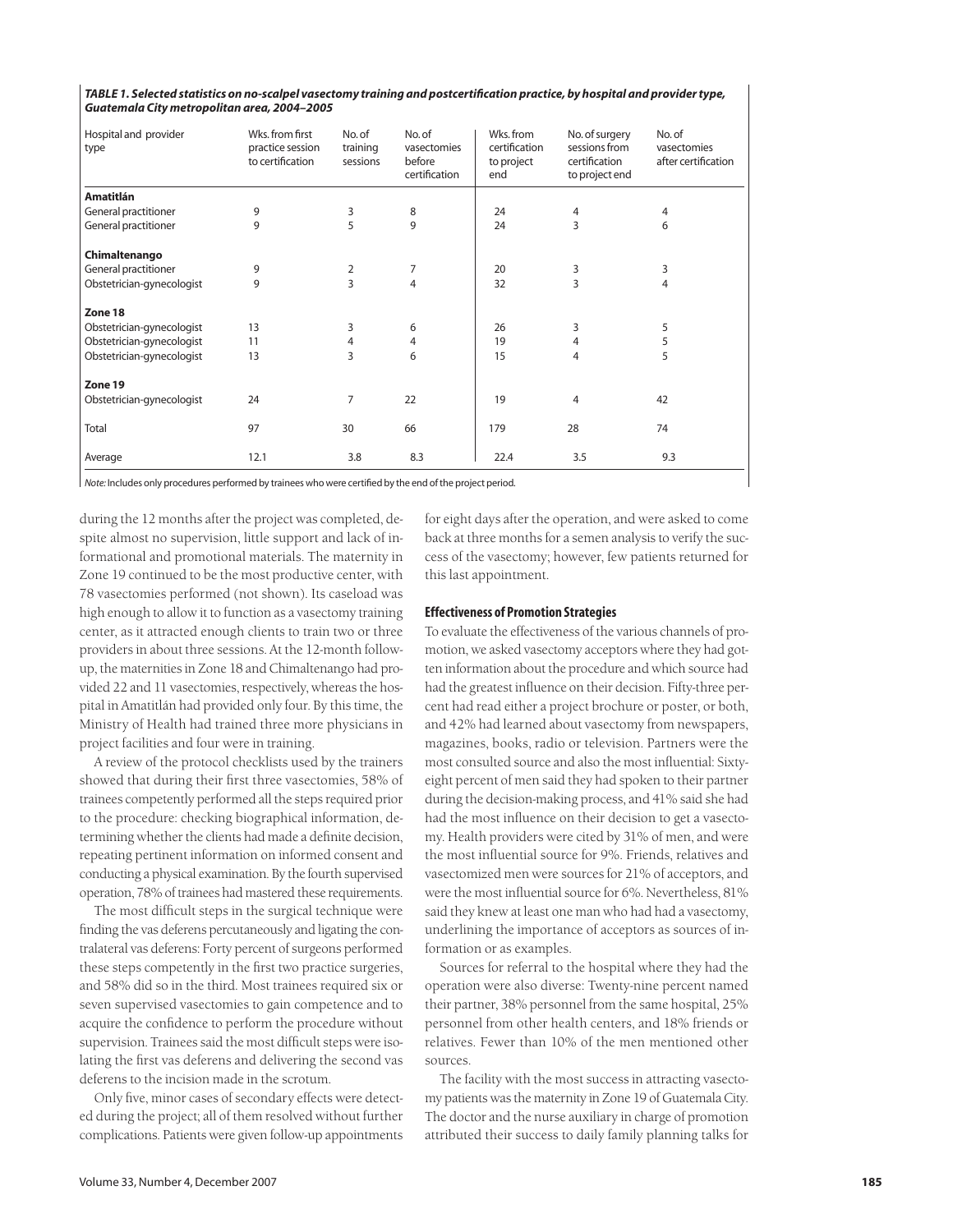*TABLE 1. Selected statistics on no-scalpel vasectomy training and postcertification practice, by hospital and provider type, Guatemala City metropolitan area, 2004–2005*

| Hospital and provider<br>type | Wks. from first<br>practice session<br>to certification | No. of<br>training<br>sessions | No. of<br>vasectomies<br>before<br>certification | Wks. from<br>certification<br>to project<br>end | No. of surgery<br>sessions from<br>certification<br>to project end | No. of<br>vasectomies<br>after certification |
|-------------------------------|---------------------------------------------------------|--------------------------------|--------------------------------------------------|-------------------------------------------------|--------------------------------------------------------------------|----------------------------------------------|
| <b>Amatitlán</b>              |                                                         |                                |                                                  |                                                 |                                                                    |                                              |
| General practitioner          | 9                                                       | 3                              | 8                                                | 24                                              | 4                                                                  | 4                                            |
| General practitioner          | 9                                                       | 5                              | 9                                                | 24                                              | 3                                                                  | 6                                            |
| Chimaltenango                 |                                                         |                                |                                                  |                                                 |                                                                    |                                              |
| General practitioner          | 9                                                       | 2                              | 7                                                | 20                                              | 3                                                                  | 3                                            |
| Obstetrician-gynecologist     | 9                                                       | 3                              | $\overline{4}$                                   | 32                                              | 3                                                                  | 4                                            |
| Zone 18                       |                                                         |                                |                                                  |                                                 |                                                                    |                                              |
| Obstetrician-gynecologist     | 13                                                      | 3                              | 6                                                | 26                                              | 3                                                                  | 5                                            |
| Obstetrician-gynecologist     | 11                                                      | 4                              | $\overline{4}$                                   | 19                                              | 4                                                                  | 5                                            |
| Obstetrician-gynecologist     | 13                                                      | 3                              | 6                                                | 15                                              | 4                                                                  | 5                                            |
| Zone 19                       |                                                         |                                |                                                  |                                                 |                                                                    |                                              |
| Obstetrician-gynecologist     | 24                                                      | 7                              | 22                                               | 19                                              | 4                                                                  | 42                                           |
| Total                         | 97                                                      | 30                             | 66                                               | 179                                             | 28                                                                 | 74                                           |
| Average                       | 12.1                                                    | 3.8                            | 8.3                                              | 22.4                                            | 3.5                                                                | 9.3                                          |

*Note:* Includes only procedures performed by trainees who were certified by the end of the project period.

during the 12 months after the project was completed, despite almost no supervision, little support and lack of informational and promotional materials. The maternity in Zone 19 continued to be the most productive center, with 78 vasectomies performed (not shown). Its caseload was high enough to allow it to function as a vasectomy training center, as it attracted enough clients to train two or three providers in about three sessions. At the 12-month followup, the maternities in Zone 18 and Chimaltenango had provided 22 and 11 vasectomies, respectively, whereas the hospital in Amatitlán had provided only four. By this time, the Ministry of Health had trained three more physicians in project facilities and four were in training.

A review of the protocol checklists used by the trainers showed that during their first three vasectomies, 58% of trainees competently performed all the steps required prior to the procedure: checking biographical information, determining whether the clients had made a definite decision, repeating pertinent information on informed consent and conducting a physical examination. By the fourth supervised operation, 78% of trainees had mastered these requirements.

The most difficult steps in the surgical technique were finding the vas deferens percutaneously and ligating the contralateral vas deferens: Forty percent of surgeons performed these steps competently in the first two practice surgeries, and 58% did so in the third. Most trainees required six or seven supervised vasectomies to gain competence and to acquire the confidence to perform the procedure without supervision. Trainees said the most difficult steps were isolating the first vas deferens and delivering the second vas deferens to the incision made in the scrotum.

Only five, minor cases of secondary effects were detected during the project; all of them resolved without further complications. Patients were given follow-up appointments

for eight days after the operation, and were asked to come back at three months for a semen analysis to verify the success of the vasectomy; however, few patients returned for this last appointment.

## **Effectiveness of Promotion Strategies**

To evaluate the effectiveness of the various channels of promotion, we asked vasectomy acceptors where they had gotten information about the procedure and which source had had the greatest influence on their decision. Fifty-three percent had read either a project brochure or poster, or both, and 42% had learned about vasectomy from newspapers, magazines, books, radio or television. Partners were the most consulted source and also the most influential: Sixtyeight percent of men said they had spoken to their partner during the decision-making process, and 41% said she had had the most influence on their decision to get a vasectomy. Health providers were cited by 31% of men, and were the most influential source for 9%. Friends, relatives and vasectomized men were sources for 21% of acceptors, and were the most influential source for 6%. Nevertheless, 81% said they knew at least one man who had had a vasectomy, underlining the importance of acceptors as sources of information or as examples.

Sources for referral to the hospital where they had the operation were also diverse: Twenty-nine percent named their partner, 38% personnel from the same hospital, 25% personnel from other health centers, and 18% friends or relatives. Fewer than 10% of the men mentioned other sources.

The facility with the most success in attracting vasectomy patients was the maternity in Zone 19 of Guatemala City. The doctor and the nurse auxiliary in charge of promotion attributed their success to daily family planning talks for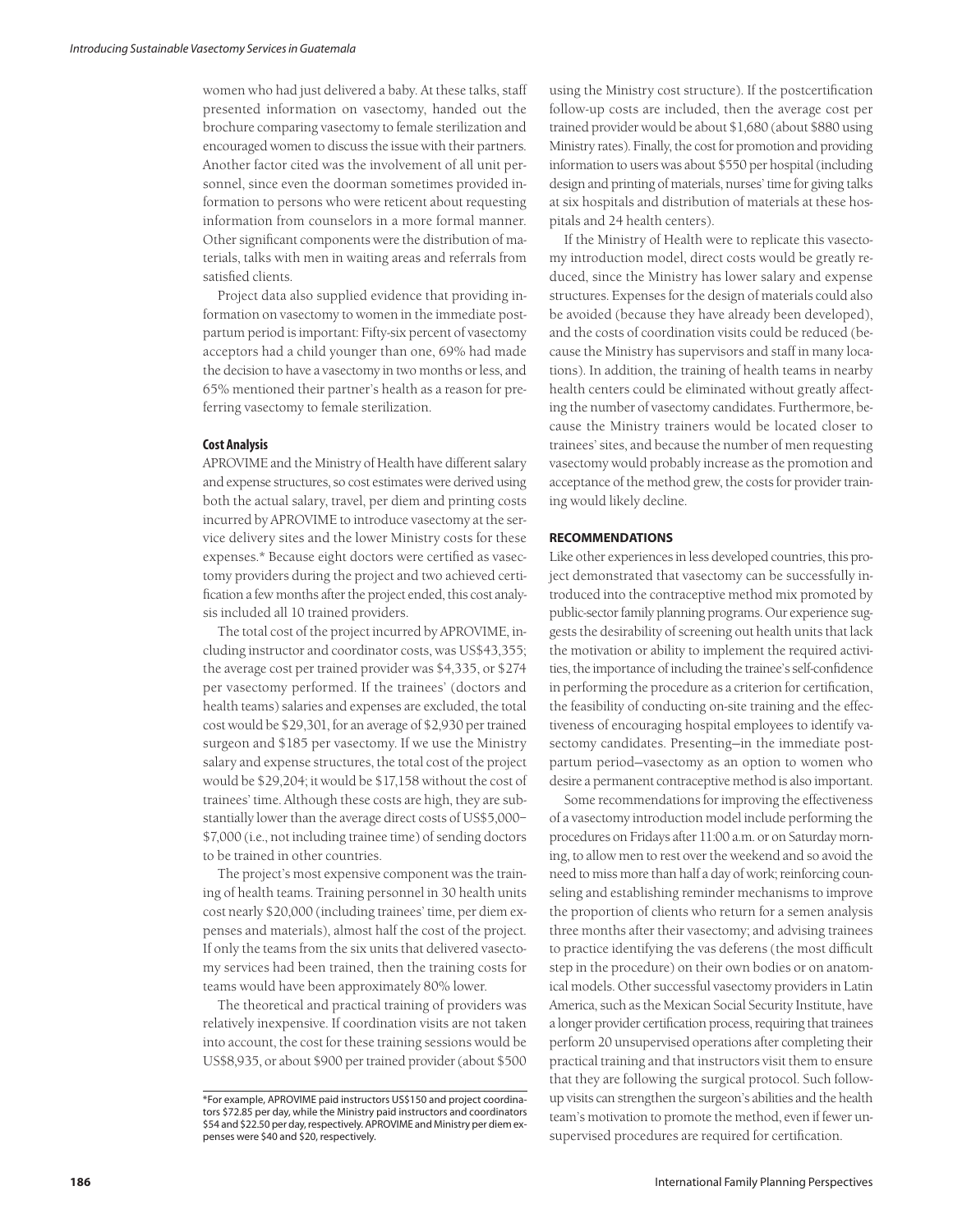women who had just delivered a baby. At these talks, staff presented information on vasectomy, handed out the brochure comparing vasectomy to female sterilization and encouraged women to discuss the issue with their partners. Another factor cited was the involvement of all unit personnel, since even the doorman sometimes provided information to persons who were reticent about requesting information from counselors in a more formal manner. Other significant components were the distribution of materials, talks with men in waiting areas and referrals from satisfied clients.

Project data also supplied evidence that providing information on vasectomy to women in the immediate postpartum period is important: Fifty-six percent of vasectomy acceptors had a child younger than one, 69% had made the decision to have a vasectomy in two months or less, and 65% mentioned their partner's health as a reason for preferring vasectomy to female sterilization.

# **Cost Analysis**

APROVIME and the Ministry of Health have different salary and expense structures, so cost estimates were derived using both the actual salary, travel, per diem and printing costs incurred by APROVIME to introduce vasectomy at the service delivery sites and the lower Ministry costs for these expenses.\* Because eight doctors were certified as vasectomy providers during the project and two achieved certification a few months after the project ended, this cost analysis included all 10 trained providers.

The total cost of the project incurred by APROVIME, including instructor and coordinator costs, was US\$43,355; the average cost per trained provider was \$4,335, or \$274 per vasectomy performed. If the trainees' (doctors and health teams) salaries and expenses are excluded, the total cost would be \$29,301, for an average of \$2,930 per trained surgeon and \$185 per vasectomy. If we use the Ministry salary and expense structures, the total cost of the project would be \$29,204; it would be \$17,158 without the cost of trainees' time. Although these costs are high, they are substantially lower than the average direct costs of US\$5,000– \$7,000 (i.e., not including trainee time) of sending doctors to be trained in other countries.

The project's most expensive component was the training of health teams. Training personnel in 30 health units cost nearly \$20,000 (including trainees' time, per diem expenses and materials), almost half the cost of the project. If only the teams from the six units that delivered vasectomy services had been trained, then the training costs for teams would have been approximately 80% lower.

The theoretical and practical training of providers was relatively inexpensive. If coordination visits are not taken into account, the cost for these training sessions would be US\$8,935, or about \$900 per trained provider (about \$500 using the Ministry cost structure). If the postcertification follow-up costs are included, then the average cost per trained provider would be about \$1,680 (about \$880 using Ministry rates). Finally, the cost for promotion and providing information to users was about \$550 per hospital (including design and printing of materials, nurses' time for giving talks at six hospitals and distribution of materials at these hospitals and 24 health centers).

If the Ministry of Health were to replicate this vasectomy introduction model, direct costs would be greatly reduced, since the Ministry has lower salary and expense structures. Expenses for the design of materials could also be avoided (because they have already been developed), and the costs of coordination visits could be reduced (because the Ministry has supervisors and staff in many locations). In addition, the training of health teams in nearby health centers could be eliminated without greatly affecting the number of vasectomy candidates. Furthermore, because the Ministry trainers would be located closer to trainees' sites, and because the number of men requesting vasectomy would probably increase as the promotion and acceptance of the method grew, the costs for provider training would likely decline.

## **RECOMMENDATIONS**

Like other experiences in less developed countries, this project demonstrated that vasectomy can be successfully introduced into the contraceptive method mix promoted by public-sector family planning programs. Our experience suggests the desirability of screening out health units that lack the motivation or ability to implement the required activities, the importance of including the trainee's self-confidence in performing the procedure as a criterion for certification, the feasibility of conducting on-site training and the effectiveness of encouraging hospital employees to identify vasectomy candidates. Presenting—in the immediate postpartum period—vasectomy as an option to women who desire a permanent contraceptive method is also important.

Some recommendations for improving the effectiveness of a vasectomy introduction model include performing the procedures on Fridays after 11:00 a.m. or on Saturday morning, to allow men to rest over the weekend and so avoid the need to miss more than half a day of work; reinforcing counseling and establishing reminder mechanisms to improve the proportion of clients who return for a semen analysis three months after their vasectomy; and advising trainees to practice identifying the vas deferens (the most difficult step in the procedure) on their own bodies or on anatomical models. Other successful vasectomy providers in Latin America, such as the Mexican Social Security Institute, have a longer provider certification process, requiring that trainees perform 20 unsupervised operations after completing their practical training and that instructors visit them to ensure that they are following the surgical protocol. Such followup visits can strengthen the surgeon's abilities and the health team's motivation to promote the method, even if fewer unsupervised procedures are required for certification.

<sup>\*</sup>For example, APROVIME paid instructors US\$150 and project coordinators \$72.85 per day, while the Ministry paid instructors and coordinators \$54 and \$22.50 per day, respectively. APROVIME and Ministry per diem expenses were \$40 and \$20, respectively.